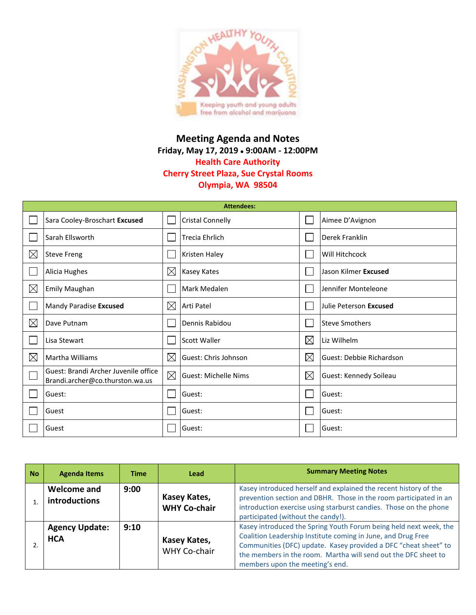

## **Meeting Agenda and Notes Friday, May 17, 2019 9:00AM - 12:00PM Health Care Authority Cherry Street Plaza, Sue Crystal Rooms Olympia, WA 98504**

| <b>Attendees:</b> |                                                                         |             |                             |             |                          |  |
|-------------------|-------------------------------------------------------------------------|-------------|-----------------------------|-------------|--------------------------|--|
|                   | Sara Cooley-Broschart Excused                                           |             | <b>Cristal Connelly</b>     |             | Aimee D'Avignon          |  |
|                   | Sarah Ellsworth                                                         |             | <b>Trecia Ehrlich</b>       |             | Derek Franklin           |  |
| $\boxtimes$       | <b>Steve Freng</b>                                                      |             | Kristen Haley               |             | Will Hitchcock           |  |
|                   | Alicia Hughes                                                           | $\boxtimes$ | Kasey Kates                 |             | Jason Kilmer Excused     |  |
| $\boxtimes$       | <b>Emily Maughan</b>                                                    |             | Mark Medalen                |             | Jennifer Monteleone      |  |
|                   | Mandy Paradise Excused                                                  | $\boxtimes$ | <b>Arti Patel</b>           |             | Julie Peterson Excused   |  |
| $\boxtimes$       | Dave Putnam                                                             |             | Dennis Rabidou              |             | <b>Steve Smothers</b>    |  |
| I.                | Lisa Stewart                                                            |             | Scott Waller                | $\boxtimes$ | Liz Wilhelm              |  |
| ⊠                 | Martha Williams                                                         | $\boxtimes$ | Guest: Chris Johnson        | ⊠           | Guest: Debbie Richardson |  |
|                   | Guest: Brandi Archer Juvenile office<br>Brandi.archer@co.thurston.wa.us | $\boxtimes$ | <b>Guest: Michelle Nims</b> | $\boxtimes$ | Guest: Kennedy Soileau   |  |
|                   | Guest:                                                                  |             | Guest:                      |             | Guest:                   |  |
|                   | Guest                                                                   |             | Guest:                      |             | Guest:                   |  |
|                   | Guest                                                                   |             | Guest:                      |             | Guest:                   |  |

| <b>No</b> | <b>Agenda Items</b>                 | Time | Lead                                | <b>Summary Meeting Notes</b>                                                                                                                                                                                                                                                                              |
|-----------|-------------------------------------|------|-------------------------------------|-----------------------------------------------------------------------------------------------------------------------------------------------------------------------------------------------------------------------------------------------------------------------------------------------------------|
|           | Welcome and<br>introductions        | 9:00 | Kasey Kates,<br><b>WHY Co-chair</b> | Kasey introduced herself and explained the recent history of the<br>prevention section and DBHR. Those in the room participated in an<br>introduction exercise using starburst candies. Those on the phone<br>participated (without the candy!).                                                          |
|           | <b>Agency Update:</b><br><b>HCA</b> | 9:10 | Kasey Kates,<br><b>WHY Co-chair</b> | Kasey introduced the Spring Youth Forum being held next week, the<br>Coalition Leadership Institute coming in June, and Drug Free<br>Communities (DFC) update. Kasey provided a DFC "cheat sheet" to<br>the members in the room. Martha will send out the DFC sheet to<br>members upon the meeting's end. |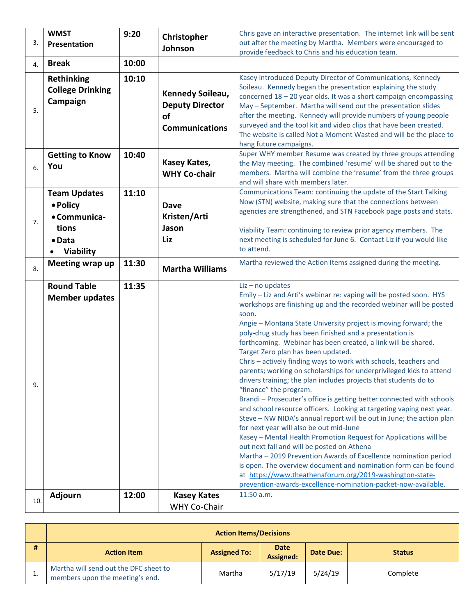|     | <b>WMST</b>             | 9:20  | Christopher                        | Chris gave an interactive presentation. The internet link will be sent                                                           |
|-----|-------------------------|-------|------------------------------------|----------------------------------------------------------------------------------------------------------------------------------|
| 3.  | Presentation            |       | Johnson                            | out after the meeting by Martha. Members were encouraged to                                                                      |
|     |                         |       |                                    | provide feedback to Chris and his education team.                                                                                |
| 4.  | <b>Break</b>            | 10:00 |                                    |                                                                                                                                  |
|     | <b>Rethinking</b>       | 10:10 |                                    | Kasey introduced Deputy Director of Communications, Kennedy                                                                      |
|     | <b>College Drinking</b> |       | Kennedy Soileau,                   | Soileau. Kennedy began the presentation explaining the study                                                                     |
|     | Campaign                |       | <b>Deputy Director</b>             | concerned 18 - 20 year olds. It was a short campaign encompassing                                                                |
| 5.  |                         |       |                                    | May - September. Martha will send out the presentation slides<br>after the meeting. Kennedy will provide numbers of young people |
|     |                         |       | <b>of</b>                          | surveyed and the tool kit and video clips that have been created.                                                                |
|     |                         |       | <b>Communications</b>              | The website is called Not a Moment Wasted and will be the place to                                                               |
|     |                         |       |                                    | hang future campaigns.                                                                                                           |
|     | <b>Getting to Know</b>  | 10:40 |                                    | Super WHY member Resume was created by three groups attending                                                                    |
| 6.  | You                     |       | Kasey Kates,                       | the May meeting. The combined 'resume' will be shared out to the                                                                 |
|     |                         |       | <b>WHY Co-chair</b>                | members. Martha will combine the 'resume' from the three groups                                                                  |
|     |                         |       |                                    | and will share with members later.                                                                                               |
|     | <b>Team Updates</b>     | 11:10 |                                    | Communications Team: continuing the update of the Start Talking<br>Now (STN) website, making sure that the connections between   |
|     | • Policy                |       | <b>Dave</b>                        | agencies are strengthened, and STN Facebook page posts and stats.                                                                |
| 7.  | • Communica-            |       | Kristen/Arti                       |                                                                                                                                  |
|     | tions                   |       | Jason                              | Viability Team: continuing to review prior agency members. The                                                                   |
|     | $\bullet$ Data          |       | Liz                                | next meeting is scheduled for June 6. Contact Liz if you would like                                                              |
|     | <b>Viability</b>        |       |                                    | to attend.                                                                                                                       |
|     | Meeting wrap up         | 11:30 |                                    | Martha reviewed the Action Items assigned during the meeting.                                                                    |
| 8.  |                         |       | <b>Martha Williams</b>             |                                                                                                                                  |
|     |                         |       |                                    |                                                                                                                                  |
|     | <b>Round Table</b>      | 11:35 |                                    | $Liz$ – no updates                                                                                                               |
|     |                         |       |                                    | Emily - Liz and Arti's webinar re: vaping will be posted soon. HYS                                                               |
|     | <b>Member updates</b>   |       |                                    | workshops are finishing up and the recorded webinar will be posted                                                               |
|     |                         |       |                                    | soon.                                                                                                                            |
|     |                         |       |                                    | Angie - Montana State University project is moving forward; the                                                                  |
|     |                         |       |                                    | poly-drug study has been finished and a presentation is                                                                          |
|     |                         |       |                                    | forthcoming. Webinar has been created, a link will be shared.<br>Target Zero plan has been updated.                              |
|     |                         |       |                                    | Chris - actively finding ways to work with schools, teachers and                                                                 |
|     |                         |       |                                    | parents; working on scholarships for underprivileged kids to attend                                                              |
| 9.  |                         |       |                                    | drivers training; the plan includes projects that students do to                                                                 |
|     |                         |       |                                    | "finance" the program.                                                                                                           |
|     |                         |       |                                    | Brandi - Prosecuter's office is getting better connected with schools                                                            |
|     |                         |       |                                    | and school resource officers. Looking at targeting vaping next year.                                                             |
|     |                         |       |                                    | Steve - NW NIDA's annual report will be out in June; the action plan                                                             |
|     |                         |       |                                    | for next year will also be out mid-June<br>Kasey - Mental Health Promotion Request for Applications will be                      |
|     |                         |       |                                    | out next fall and will be posted on Athena                                                                                       |
|     |                         |       |                                    | Martha - 2019 Prevention Awards of Excellence nomination period                                                                  |
|     |                         |       |                                    | is open. The overview document and nomination form can be found                                                                  |
|     |                         |       |                                    | at https://www.theathenaforum.org/2019-washington-state-                                                                         |
|     |                         |       |                                    | prevention-awards-excellence-nomination-packet-now-available.                                                                    |
| 10. | Adjourn                 | 12:00 | <b>Kasey Kates</b><br>WHY Co-Chair | 11:50 a.m.                                                                                                                       |

|          | <b>Action Items/Decisions</b>                                            |                     |                                              |         |               |  |  |
|----------|--------------------------------------------------------------------------|---------------------|----------------------------------------------|---------|---------------|--|--|
| #        | <b>Action Item</b>                                                       | <b>Assigned To:</b> | <b>Date</b><br>Date Due:<br><b>Assigned:</b> |         | <b>Status</b> |  |  |
| <b>.</b> | Martha will send out the DFC sheet to<br>members upon the meeting's end. | Martha              | 5/17/19                                      | 5/24/19 | Complete      |  |  |